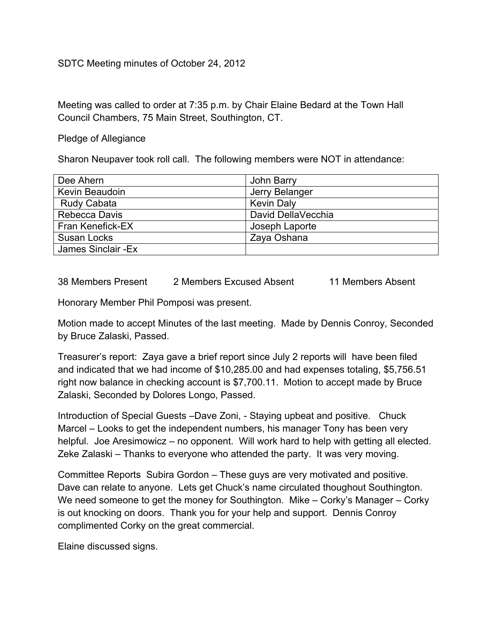## SDTC Meeting minutes of October 24, 2012

Meeting was called to order at 7:35 p.m. by Chair Elaine Bedard at the Town Hall Council Chambers, 75 Main Street, Southington, CT.

Pledge of Allegiance

Sharon Neupaver took roll call. The following members were NOT in attendance:

| Dee Ahern               | John Barry         |
|-------------------------|--------------------|
| Kevin Beaudoin          | Jerry Belanger     |
| <b>Rudy Cabata</b>      | <b>Kevin Daly</b>  |
| Rebecca Davis           | David DellaVecchia |
| <b>Fran Kenefick-EX</b> | Joseph Laporte     |
| Susan Locks             | Zaya Oshana        |
| James Sinclair - Ex     |                    |

38 Members Present 2 Members Excused Absent 11 Members Absent

Honorary Member Phil Pomposi was present.

Motion made to accept Minutes of the last meeting. Made by Dennis Conroy, Seconded by Bruce Zalaski, Passed.

Treasurer's report: Zaya gave a brief report since July 2 reports will have been filed and indicated that we had income of \$10,285.00 and had expenses totaling, \$5,756.51 right now balance in checking account is \$7,700.11. Motion to accept made by Bruce Zalaski, Seconded by Dolores Longo, Passed.

Introduction of Special Guests –Dave Zoni, - Staying upbeat and positive. Chuck Marcel – Looks to get the independent numbers, his manager Tony has been very helpful. Joe Aresimowicz – no opponent. Will work hard to help with getting all elected. Zeke Zalaski – Thanks to everyone who attended the party. It was very moving.

Committee Reports Subira Gordon – These guys are very motivated and positive. Dave can relate to anyone. Lets get Chuck's name circulated thoughout Southington. We need someone to get the money for Southington. Mike – Corky's Manager – Corky is out knocking on doors. Thank you for your help and support. Dennis Conroy complimented Corky on the great commercial.

Elaine discussed signs.